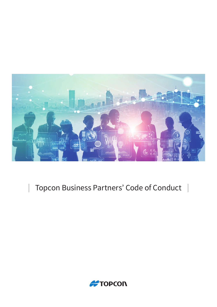

# Topcon Business Partners' Code of Conduct |

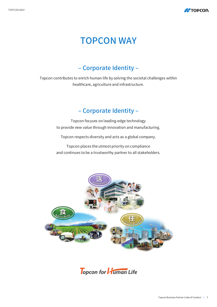

# **TOPCON WAY**

## – Corporate Identity –

Topcon contributes to enrich human life by solving the societal challenges within healthcare, agriculture and infrastructure.

### – Corporate Identity –

Topcon focuses on leading-edge technology to provide new value through innovation and manufacturing.

Topcon respects diversity and acts as a global company.

Topcon places the utmost priority on compliance and continues to be a trustworthy partner to all stakeholders.



Topcon for **Human** Life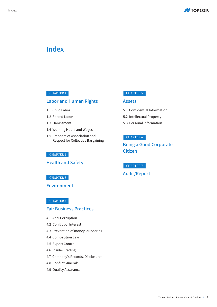

### Index

### CHAPTER 1

### Labor and Human Rights

- 1.1 Child Labor
- 1.2 Forced Labor
- 1.3 Harassment
- 1.4 Working Hours and Wages
- 1.5 Freedom of Association and Respect for Collective Bargaining

### $\vert$  CHAPTER 2  $\vert$

**Health and Safety** 

### $\vert$  CHAPTER 3  $\vert$

Environment

#### $\vert$  CHAPTER 4  $\vert$

### **Fair Business Practices**

- 4.1 Anti-Corruption
- 4.2 Conflict of Interest
- 4.3 Prevention of money laundering
- 4.4 Competition Law
- 4.5 Export Control
- 4.6 Insider Trading
- 4.7 Company's Records, Disclosures
- 4.8 Conflict Minerals
- 4.9 Quality Assurance

#### CHAPTER 5

#### Assets

- 5.1 Confidential Information
- 5.2 Intellectual Property
- 5.3 Personal Information

#### $\vert$  CHAPTER 6

### Being a Good Corporate Citizen

CHAPTER 7

### **Audit/Report**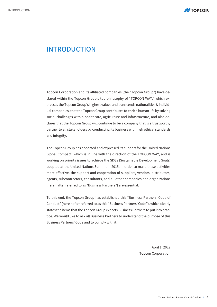

## INTRODUCTION

ual companies, that the Topcon Group contributes to enrich human life by solving presses the Topcon Group's highest values and transcends nationalities & individclared within the Topcon Group's top philosophy of "TOPCON WAY," which ex-Topcon Corporation and its affiliated companies (the "Topcon Group") have declares that the Topcon Group will continue to be a company that is a trustworthy social challenges within healthcare, agriculture and infrastructure, and also departner to all stakeholders by conducting its business with high ethical standards and integrity.

The Topcon Group has endorsed and expressed its support for the United Nations Global Compact, which is in line with the direction of the TOPCON WAY, and is working on priority issues to achieve the SDGs (Sustainable Development Goals) adopted at the United Nations Summit in 2015. In order to make these activities more effective, the support and cooperation of suppliers, vendors, distributors, agents, subcontractors, consultants, and all other companies and organizations (hereinafter referred to as "Business Partners") are essential.

To this end, the Topcon Group has established this "Business Partners' Code of Conduct" (hereinafter referred to as this "Business Partners' Code"), which clearly tice. We would like to ask all Business Partners to understand the purpose of this states the items that the Topcon Group expects Business Partners to put into prac-Business Partners' Code and to comply with it.

> April 1, 2022 **Topcon Corporation**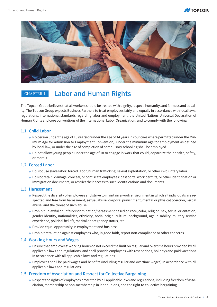



## CHAPTER 1 | Labor and Human Rights

ity. The Topcon Group expects Business Partners to treat employees fairly and equally in accordance with local laws, The Topcon Group believes that all workers should be treated with dignity, respect, humanity, and fairness and equalregulations, international standards regarding labor and employment, the United Nations Universal Declaration of Human Rights and core conventions of the International Labor Organization, and to comply with the following:

### 1.1 Child Labor

- imum Age for Admission to Employment Convention), under the minimum age for employment as defined Mo person under the age of 15 years (or under the age of 14 years in countries where permitted under the Minby local law, or under the age of completion of compulsory schooling shall be employed.
- Do not allow young people under the age of 18 to engage in work that could jeopardize their health, safety, or morals.

#### 1.2 Forced Labor

- Do Not use slave labor, forced labor, human trafficking, sexual exploitation, or other involuntary labor.
- Do Not retain, damage, conceal, or confiscate employees' passports, work permits, or other identification or immigration documents, or restrict their access to such identifications and documents.

#### 1.3 Harassment

- spected and free from harassment, sexual abuse, corporal punishment, mental or physical coercion, verbal Respect the diversity of employees and strive to maintain a work environment in which all individuals are reabuse, and the threat of such abuse.
- Prohibit unlawful or unfair discrimination/harassment based on race, color, religion, sex, sexual orientation, gender identity, nationalities, ethnicity, social origin, cultural background, age, disability, military service experience, political beliefs, marital or pregnancy status, etc.
- $\bullet$  Provide equal opportunity in employment and business.
- . Prohibit retaliation against employees who, in good faith, report non-compliance or other concerns.

#### 1.4 Working Hours and Wages

- Ensure that employees' working hours do not exceed the limit on regular and overtime hours provided by all applicable laws and regulations, and shall provide employees with rest periods, holidays and paid vacations in accordance with all applicable laws and regulations.
- Employees shall be paid wages and benefits (including regular and overtime wages) in accordance with all applicable laws and regulations.

#### 1.5 Freedom of Association and Respect for Collective Bargaining

ciation, membership or non-membership in labor unions, and the right to collective bargaining. • Respect the rights of employees protected by all applicable laws and regulations, including freedom of asso-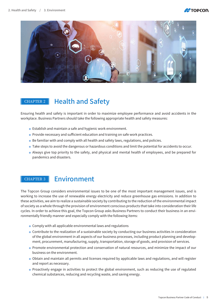



## $CHAPTER 2$  Health and Safety

Ensuring health and safety is important in order to maximize employee performance and avoid accidents in the workplace. Business Partners should take the following appropriate health and safety measures:

- Establish and maintain a safe and hygienic work environment.
- Provide necessary and sufficient education and training on safe work practices.
- Be familiar with and comply with all health and safety laws, regulations, and policies.
- Take steps to avoid the dangerous or hazardous conditions and limit the potential for accidents to occur.
- Always give top priority to the safety, and physical and mental health of employees, and be prepared for pandemics and disasters.

### CHAPTER 3 **Fnvironment**

The Topcon Group considers environmental issues to be one of the most important management issues, and is working to increase the use of renewable energy electricity and reduce greenhouse gas emissions. In addition to these activities, we aim to realize a sustainable society by contributing to the reduction of the environmental impact of society as a whole through the provision of environment conscious products that take into consideration their life cycles. In order to achieve this goal, the Topcon Group asks Business Partners to conduct their business in an envi-<br>ronmentally friendly manner and especially comply with the following items:

- $\bullet$  Comply with all applicable environmental laws and regulations
- Contribute to the realization of a sustainable society by conducting our business activities in consideration ment, procurement, manufacturing, supply, transportation, storage of goods, and provision of services. of the global environment in all aspects of our business processes, including product planning and develop-
- Promote environmental protection and conservation of natural resources, and minimize the impact of our business on the environment.
- Obtain and maintain all permits and licenses required by applicable laws and regulations, and will register and report as necessary.
- Proactively engage in activities to protect the global environment, such as reducing the use of regulated chemical substances, reducing and recycling waste, and saving energy.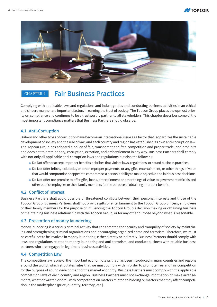



## CHAPTER 4 | Fair Business Practices

Complying with applicable laws and regulations and industry rules and conducting business activities in an ethical ity on compliance and continues to be a trustworthy partner to all stakeholders. This chapter describes some of the and sincere manner are important factors in earning the trust of society. The Topcon Group places the upmost priormost important compliance matters that Business Partners should observe.

### 4.1 Anti-Corruption

Bribery and other types of corruption have become an international issue as a factor that jeopardizes the sustainable development of society and the rule of law, and each country and region has established its own anti-corruption law. The Topcon Group has adopted a policy of fair, transparent and free competition and proper trade, and prohibits and does not tolerate bribery, corruption, extortion, and embezzlement in any way. Business Partners shall comply with not only all applicable anti-corruption laws and regulations but also the following:

- Do Not offer or accept improper benefits or bribes that violate laws, regulations, or sound business practices.
- Do Not offer bribes, kickbacks, or other improper payments, or any gifts, entertainment, or other things of value that would compromise or appear to compromise a person's ability to make objective and fair business decisions.
- Do Not offer nor promise to offer gifts, loans, entertainment or other things of value to government officials and other public employees or their family members for the purpose of obtaining improper benefit.

### 4.2 Conflict of Interest

Business Partners shall avoid possible or threatened conflicts between their personal interests and those of the Topcon Group. Business Partners shall not provide gifts or entertainment to the Topcon Group officers, employees or their family members for the purpose of influencing the Topcon Group's decision making or obtaining business or maintaining business relationship with the Topcon Group, or for any other purpose beyond what is reasonable.

### 4.3 Prevention of money laundering

ing and strengthening criminal organizations and encouraging organized crime and terrorism. Therefore, we must Money laundering is a serious criminal activity that can threaten the security and tranquility of society by maintainbe careful not to be involved in money laundering, either directly or indirectly. Business Partners should comply with laws and regulations related to money laundering and anti-terrorism, and conduct business with reliable business partners who are engaged in legitimate business activities.

#### **4.4 Competition Law**

The competition law is one of the important economic laws that has been introduced in many countries and regions around the world, which stipulates rules that we must comply with in order to promote free and fair competition for the purpose of sound development of the market economy. Business Partners must comply with the applicable ments, whether written or oral, with competitors on matters related to bidding or matters that may affect competi-<br>tion in the marketplace (price, quantity, territory, etc.). competition laws of each country and region. Business Partners must not exchange information or make arrange-<br>ments, whether written or oral, with competitors on matters related to bidding or matters that may affect compet competition laws of each country and region. Business Partners must not exchange information or make arrange-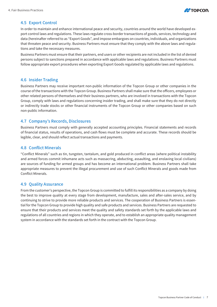

### 4.5 Export Control

port control laws and regulations. These laws regulate cross-border transactions of goods, services, technology and In order to maintain and enhance international peace and security, countries around the world have developed exdata (hereinafter referred to as "Export Goods", and impose embargoes on countries, individuals, and organizations that threaten peace and security. Business Partners must ensure that they comply with the above laws and regula-<br>tions and take the necessary measures.

Business Partners must ensure that their partners, end users or other recipients are not included in the list of denied persons subject to sanctions prepared in accordance with applicable laws and regulations. Business Partners must follow appropriate export procedures when exporting Export Goods regulated by applicable laws and regulations.

### 4.6 Insider Trading

Business Partners may receive important non-public information of the Topcon Group or other companies in the course of the transactions with the Topcon Group. Business Partners shall make sure that the officers, employees or other related persons of themselves and their business partners, who are involved in transactions with the Topcon Group, comply with laws and regulations concerning insider trading, and shall make sure that they do not directly or indirectly trade stocks or other financial instruments of the Topcon Group or other companies based on such non-public information.

### 4.7 Company's Records, Disclosures

Business Partners must comply with generally accepted accounting principles. Financial statements and records of financial status, results of operations, and cash flows must be complete and accurate. These records should be legible, clear, and should reflect actual transactions and payments.

### 4.8 Conflict Minerals

"Conflict Minerals" such as tin, tungsten, tantalum, and gold produced in conflict areas (where political instability and armed forces commit inhumane acts such as massacring, abducting, assaulting, and enslaving local civilians) are sources of funding for armed groups and has become an international problem. Business Partners shall take appropriate measures to prevent the illegal procurement and use of such Conflict Minerals and goods made from Conflict Minerals.

#### 4.9 Quality Assurance

From the customer's perspective, the Topcon Group is committed to fulfill its responsibilities as a company by doing the best to improve quality at every stage from development, manufacture, sales and after-sales service, and by tial for the Topcon Group to provide high quality and safe products and services. Business Partners are requested to continuing to strive to provide more reliable products and services. The cooperation of Business Partners is essenensure that their products and services meet the quality and safety standards set forth by the applicable laws and regulations of all countries and regions in which they operate, and to establish an appropriate quality management system in accordance with the standards set forth in the contract with the Topcon Group.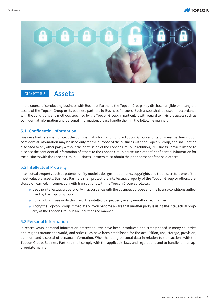



### CHAPTER 5 | Assets

In the course of conducting business with Business Partners, the Topcon Group may disclose tangible or intangible assets of the Topcon Group or its business partners to Business Partners. Such assets shall be used in accordance with the conditions and methods specified by the Topcon Group. In particular, with regard to invisible assets such as confidential information and personal information, please handle them in the following manner.

### **5.1 Confidential Information**

Business Partners shall protect the confidential information of the Topcon Group and its business partners. Such confidential information may be used only for the purpose of the business with the Topcon Group, and shall not be disclosed to any other party without the permission of the Topcon Group. In addition, if Business Partners intend to disclose the confidential information of others to the Topcon Group or use such others' confidential information for the business with the Topcon Group, Business Partners must obtain the prior consent of the said others.

### 5.2 Intellectual Property

Intellectual property such as patents, utility models, designs, trademarks, copyrights and trade secrets is one of the closed or learned, in connection with transactions with the Topcon Group as follows: most valuable assets. Business Partners shall protect the intellectual property of the Topcon Group or others, dis-

- $\bullet$  Use the intellectual property only in accordance with the business purpose and the license conditions autho-<br>rized by the Topcon Group.
- Do not obtain, use or disclosure of the intellectual property in any unauthorized manner.
- $\bullet$  Notify the Topcon Group immediately if you become aware that another party is using the intellectual property of the Topcon Group in an unauthorized manner.

### **5.3 Personal Information**

In recent years, personal information protection laws have been introduced and strengthened in many countries and regions around the world, and strict rules have been established for the acquisition, use, storage, provision, deletion, and disposal of personal information. When handling personal data in relation to transactions with the Topcon Group, Business Partners shall comply with the applicable laws and regulations and to handle it in an ap-<br>propriate manner.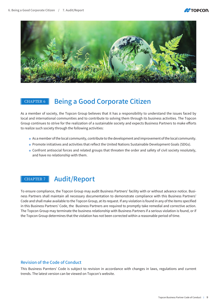



## CHAPTER 6 Being a Good Corporate Citizen

As a member of society, the Topcon Group believes that it has a responsibility to understand the issues faced by local and international communities and to contribute to solving them through its business activities. The Topcon Group continues to strive for the realization of a sustainable society and expects Business Partners to make efforts to realize such society through the following activities:

- As a member of the local community, contribute to the development and improvement of the local community.
- . Promote initiatives and activities that reflect the United Nations Sustainable Development Goals (SDGs).
- Confront antisocial forces and related groups that threaten the order and safety of civil society resolutely, and have no relationship with them.

### CHAPTER 7 | Audit/Report

ness Partners shall maintain all necessary documentation to demonstrate compliance with this Business Partners' To ensure compliance, the Topcon Group may audit Business Partners' facility with or without advance notice. Busi-Code and shall make available to the Topcon Group, at its request. If any violation is found in any of the items specified in this Business Partners' Code, the Business Partners are required to promptly take remedial and corrective action. The Topcon Group may terminate the business relationship with Business Partners if a serious violation is found, or if the Topcon Group determines that the violation has not been corrected within a reasonable period of time.

### Revision of the Code of Conduct

This Business Parnters' Code is subject to revision in accordance with changes in laws, regulations and current trends. The latest version can be viewed on Topcon's website.